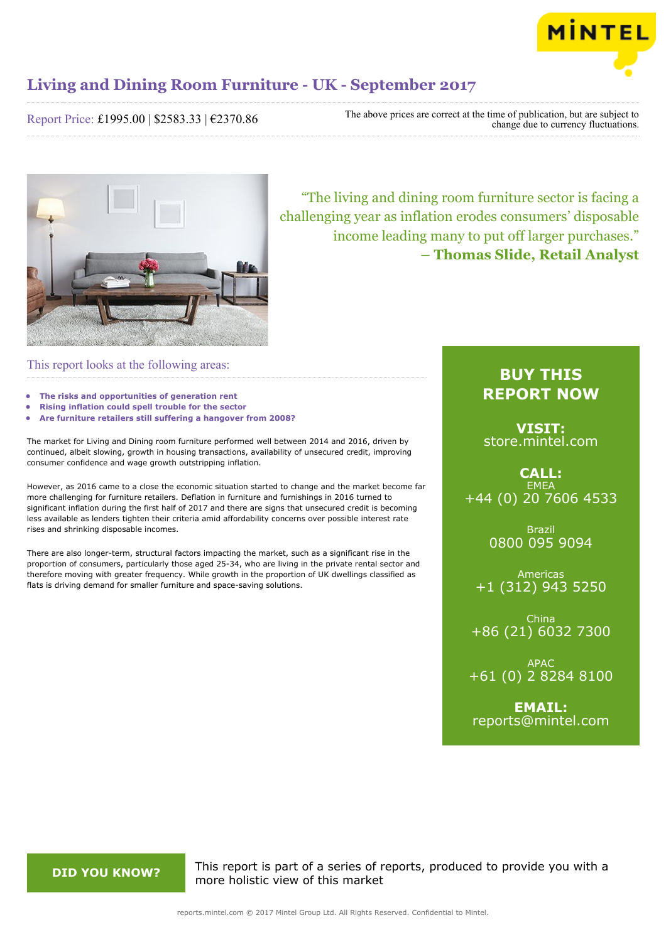

Report Price: £1995.00 | \$2583.33 | €2370.86

The above prices are correct at the time of publication, but are subject to change due to currency fluctuations.



"The living and dining room furniture sector is facing a challenging year as inflation erodes consumers' disposable income leading many to put off larger purchases." **– Thomas Slide, Retail Analyst**

## This report looks at the following areas:

- **• The risks and opportunities of generation rent**
- **• Rising inflation could spell trouble for the sector**
- **• Are furniture retailers still suffering a hangover from 2008?**

The market for Living and Dining room furniture performed well between 2014 and 2016, driven by continued, albeit slowing, growth in housing transactions, availability of unsecured credit, improving consumer confidence and wage growth outstripping inflation.

However, as 2016 came to a close the economic situation started to change and the market become far more challenging for furniture retailers. Deflation in furniture and furnishings in 2016 turned to significant inflation during the first half of 2017 and there are signs that unsecured credit is becoming less available as lenders tighten their criteria amid affordability concerns over possible interest rate rises and shrinking disposable incomes.

There are also longer-term, structural factors impacting the market, such as a significant rise in the proportion of consumers, particularly those aged 25-34, who are living in the private rental sector and therefore moving with greater frequency. While growth in the proportion of UK dwellings classified as flats is driving demand for smaller furniture and space-saving solutions.

# **BUY THIS REPORT NOW**

**VISIT:** [store.mintel.com](http://reports.mintel.com//display/store/793841/)

**CALL: EMEA** +44 (0) 20 7606 4533

> Brazil 0800 095 9094

Americas +1 (312) 943 5250

China +86 (21) 6032 7300

APAC +61 (0) 2 8284 8100

**EMAIL:** [reports@mintel.com](mailto:reports@mintel.com)

**DID YOU KNOW?** This report is part of a series of reports, produced to provide you with a more holistic view of this market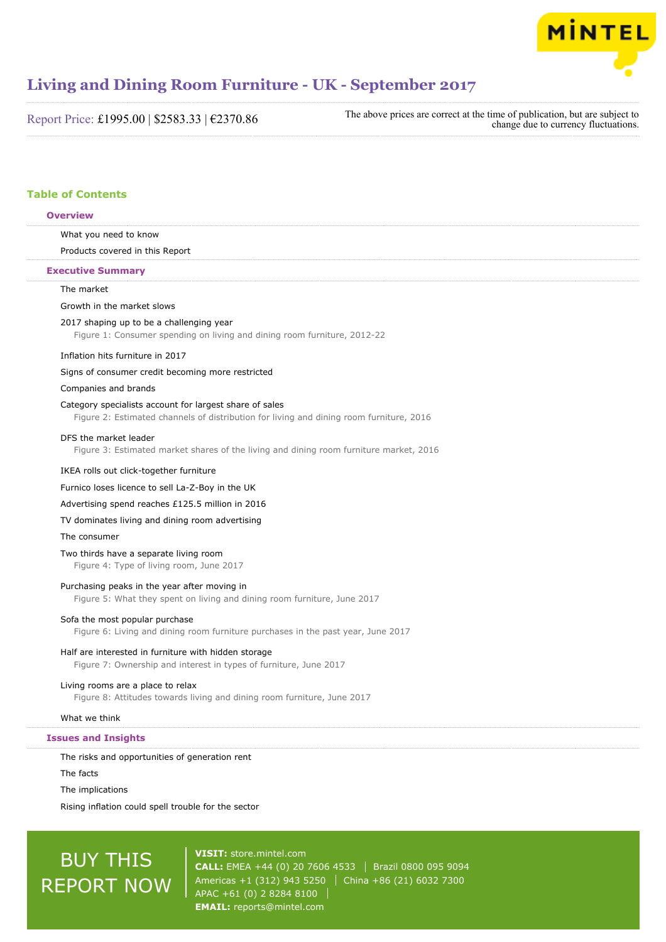

Report Price: £1995.00 | \$2583.33 | €2370.86

The above prices are correct at the time of publication, but are subject to change due to currency fluctuations.

# **Table of Contents**

# What you need to know Products covered in this Report The market Growth in the market slows 2017 shaping up to be a challenging year Figure 1: Consumer spending on living and dining room furniture, 2012-22 Inflation hits furniture in 2017 Signs of consumer credit becoming more restricted Companies and brands Category specialists account for largest share of sales Figure 2: Estimated channels of distribution for living and dining room furniture, 2016 DFS the market leader Figure 3: Estimated market shares of the living and dining room furniture market, 2016 IKEA rolls out click-together furniture Furnico loses licence to sell La-Z-Boy in the UK Advertising spend reaches £125.5 million in 2016 TV dominates living and dining room advertising The consumer Two thirds have a separate living room Figure 4: Type of living room, June 2017 Purchasing peaks in the year after moving in Figure 5: What they spent on living and dining room furniture, June 2017 Sofa the most popular purchase Figure 6: Living and dining room furniture purchases in the past year, June 2017 Half are interested in furniture with hidden storage Figure 7: Ownership and interest in types of furniture, June 2017 Living rooms are a place to relax Figure 8: Attitudes towards living and dining room furniture, June 2017 What we think The risks and opportunities of generation rent The facts **Overview Executive Summary Issues and Insights**

The implications

Rising inflation could spell trouble for the sector

# BUY THIS REPORT NOW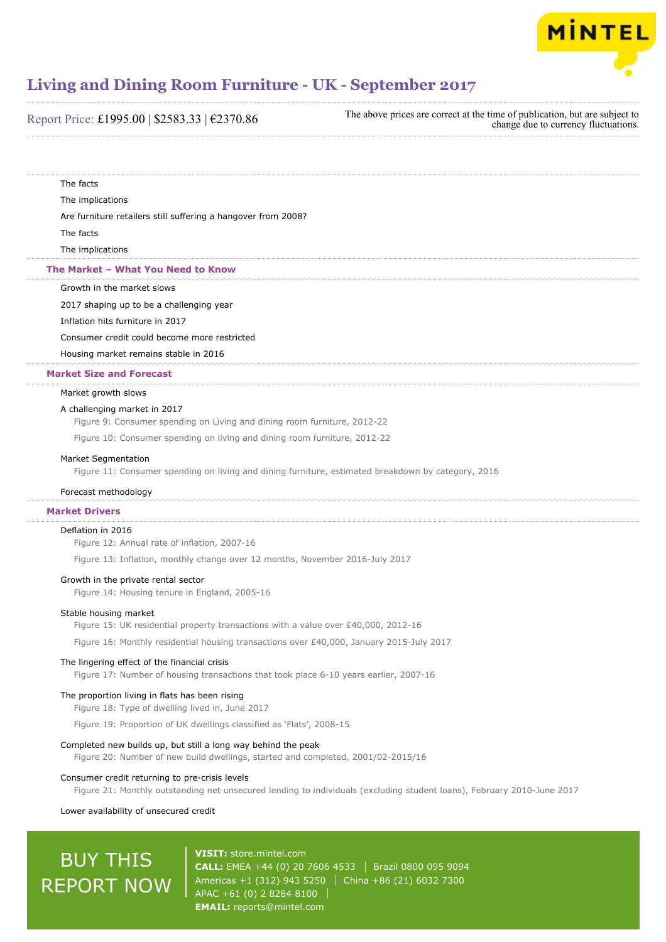

## Report Price: £1995.00 | \$2583.33 | €2370.86

The above prices are correct at the time of publication, but are subject to change due to currency fluctuations.

The facts

The implications

Are furniture retailers still suffering a hangover from 2008?

The facts

The implications

#### **The Market – What You Need to Know**

Growth in the market slows

2017 shaping up to be a challenging year

#### Inflation hits furniture in 2017

Consumer credit could become more restricted

Housing market remains stable in 2016

#### **Market Size and Forecast**

#### Market growth slows

#### A challenging market in 2017

Figure 9: Consumer spending on Living and dining room furniture, 2012-22

Figure 10: Consumer spending on living and dining room furniture, 2012-22

#### Market Segmentation

Figure 11: Consumer spending on living and dining furniture, estimated breakdown by category, 2016

#### Forecast methodology

## **Market Drivers**

#### Deflation in 2016

Figure 12: Annual rate of inflation, 2007-16

Figure 13: Inflation, monthly change over 12 months, November 2016-July 2017

#### Growth in the private rental sector

Figure 14: Housing tenure in England, 2005-16

#### Stable housing market

Figure 15: UK residential property transactions with a value over £40,000, 2012-16

Figure 16: Monthly residential housing transactions over £40,000, January 2015-July 2017

#### The lingering effect of the financial crisis

Figure 17: Number of housing transactions that took place 6-10 years earlier, 2007-16

#### The proportion living in flats has been rising

Figure 18: Type of dwelling lived in, June 2017

Figure 19: Proportion of UK dwellings classified as 'Flats', 2008-15

#### Completed new builds up, but still a long way behind the peak

Figure 20: Number of new build dwellings, started and completed, 2001/02-2015/16

#### Consumer credit returning to pre-crisis levels

Figure 21: Monthly outstanding net unsecured lending to individuals (excluding student loans), February 2010-June 2017

#### Lower availability of unsecured credit

# BUY THIS REPORT NOW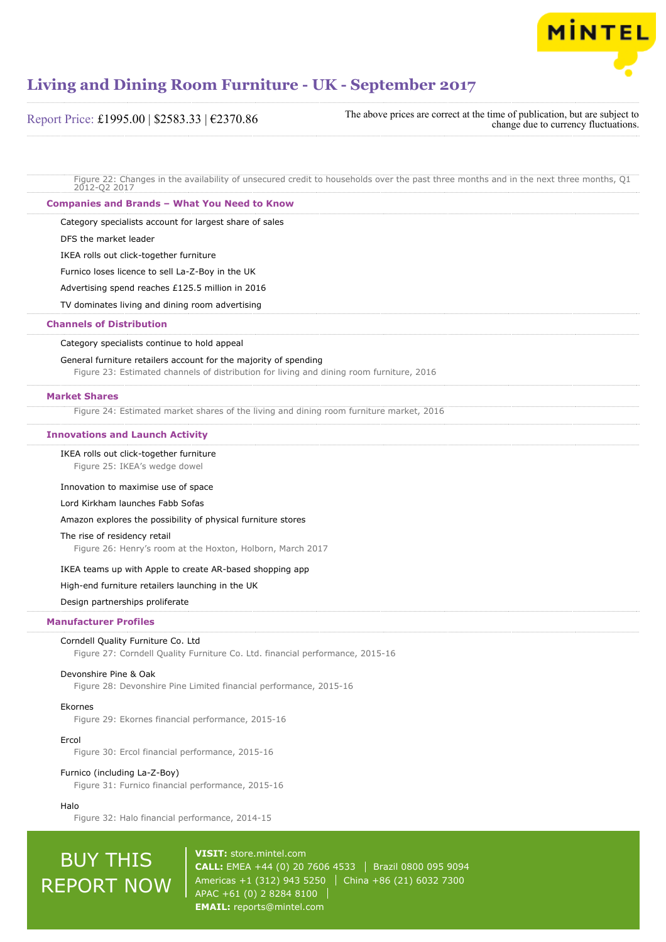

Report Price: £1995.00 | \$2583.33 | €2370.86

The above prices are correct at the time of publication, but are subject to change due to currency fluctuations.

Figure 22: Changes in the availability of unsecured credit to households over the past three months and in the next three months, Q1 2012-Q2 2017

### **Companies and Brands – What You Need to Know**

Category specialists account for largest share of sales

DFS the market leader

IKEA rolls out click-together furniture

Furnico loses licence to sell La-Z-Boy in the UK

Advertising spend reaches £125.5 million in 2016

TV dominates living and dining room advertising

### **Channels of Distribution**

Category specialists continue to hold appeal

#### General furniture retailers account for the majority of spending

Figure 23: Estimated channels of distribution for living and dining room furniture, 2016

#### **Market Shares**

Figure 24: Estimated market shares of the living and dining room furniture market, 2016

#### **Innovations and Launch Activity**

#### IKEA rolls out click-together furniture

Figure 25: IKEA's wedge dowel

#### Innovation to maximise use of space

#### Lord Kirkham launches Fabb Sofas

Amazon explores the possibility of physical furniture stores

#### The rise of residency retail

Figure 26: Henry's room at the Hoxton, Holborn, March 2017

#### IKEA teams up with Apple to create AR-based shopping app

High-end furniture retailers launching in the UK

### Design partnerships proliferate

#### **Manufacturer Profiles**

## Corndell Quality Furniture Co. Ltd

Figure 27: Corndell Quality Furniture Co. Ltd. financial performance, 2015-16

#### Devonshire Pine & Oak

Figure 28: Devonshire Pine Limited financial performance, 2015-16

# Ekornes

Figure 29: Ekornes financial performance, 2015-16

# Ercol

Figure 30: Ercol financial performance, 2015-16

## Furnico (including La-Z-Boy)

Figure 31: Furnico financial performance, 2015-16

#### Halo

Figure 32: Halo financial performance, 2014-15

# BUY THIS REPORT NOW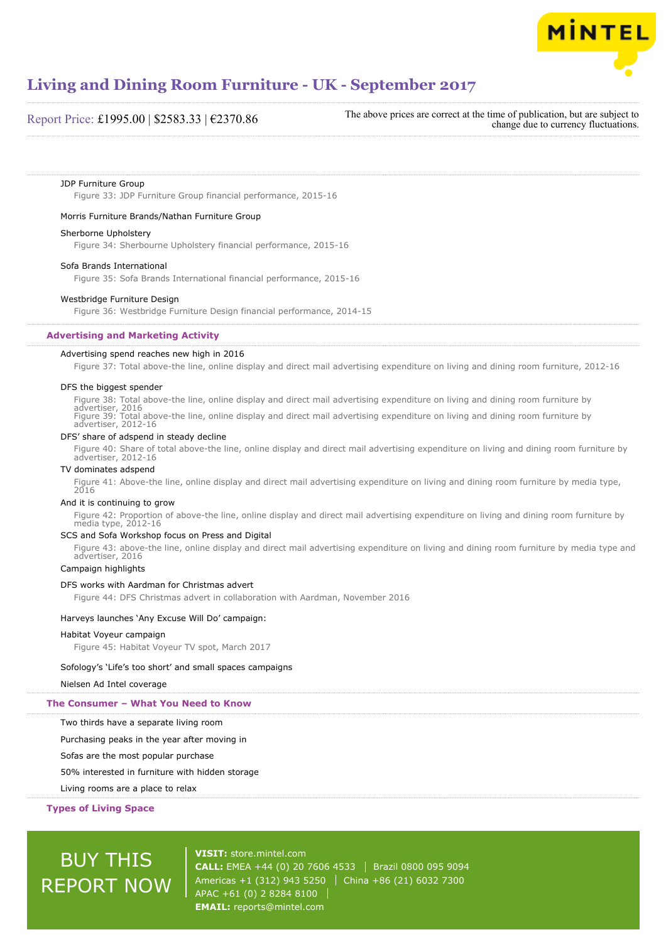

## Report Price: £1995.00 | \$2583.33 | €2370.86

The above prices are correct at the time of publication, but are subject to change due to currency fluctuations.

#### JDP Furniture Group

Figure 33: JDP Furniture Group financial performance, 2015-16

#### Morris Furniture Brands/Nathan Furniture Group

#### Sherborne Upholstery

Figure 34: Sherbourne Upholstery financial performance, 2015-16

#### Sofa Brands International

Figure 35: Sofa Brands International financial performance, 2015-16

#### Westbridge Furniture Design

Figure 36: Westbridge Furniture Design financial performance, 2014-15

#### **Advertising and Marketing Activity**

#### Advertising spend reaches new high in 2016

Figure 37: Total above-the line, online display and direct mail advertising expenditure on living and dining room furniture, 2012-16

#### DFS the biggest spender

Figure 38: Total above-the line, online display and direct mail advertising expenditure on living and dining room furniture by advertiser, 2016 Figure 39: Total above-the line, online display and direct mail advertising expenditure on living and dining room furniture by advertiser, 2012-16

#### DFS' share of adspend in steady decline

Figure 40: Share of total above-the line, online display and direct mail advertising expenditure on living and dining room furniture by advertiser, 2012-16

## TV dominates adspend

Figure 41: Above-the line, online display and direct mail advertising expenditure on living and dining room furniture by media type, 2016

#### And it is continuing to grow

Figure 42: Proportion of above-the line, online display and direct mail advertising expenditure on living and dining room furniture by media type, 2012-16

#### SCS and Sofa Workshop focus on Press and Digital

Figure 43: above-the line, online display and direct mail advertising expenditure on living and dining room furniture by media type and advertiser, 2016

## Campaign highlights

#### DFS works with Aardman for Christmas advert

Figure 44: DFS Christmas advert in collaboration with Aardman, November 2016

#### Harveys launches 'Any Excuse Will Do' campaign:

#### Habitat Voyeur campaign

Figure 45: Habitat Voyeur TV spot, March 2017

#### Sofology's 'Life's too short' and small spaces campaigns

#### Nielsen Ad Intel coverage

#### **The Consumer – What You Need to Know**

Two thirds have a separate living room

Purchasing peaks in the year after moving in

Sofas are the most popular purchase

#### 50% interested in furniture with hidden storage

Living rooms are a place to relax

#### **Types of Living Space**

# BUY THIS REPORT NOW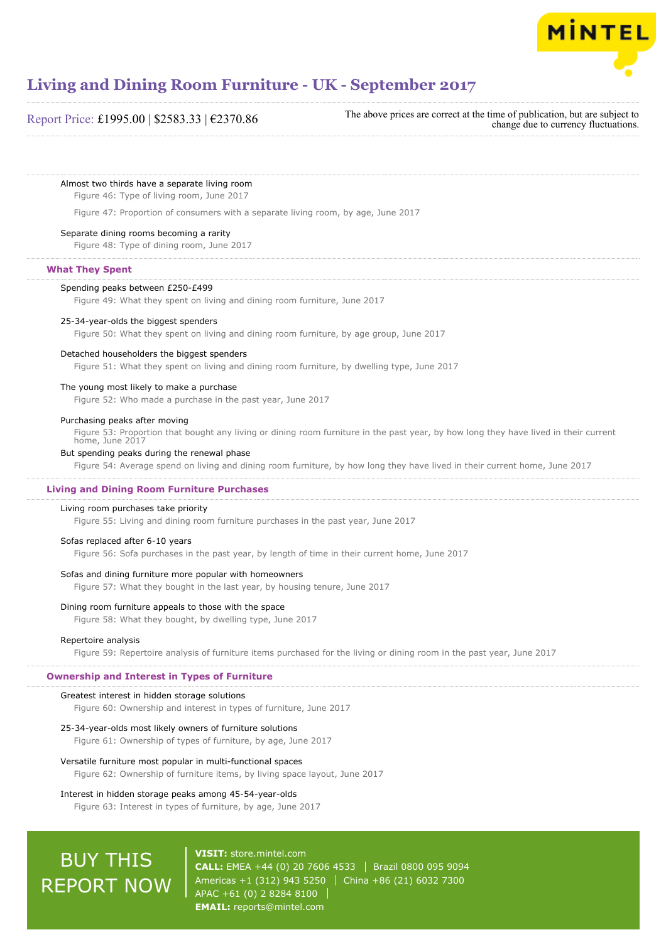

## Report Price: £1995.00 | \$2583.33 | €2370.86

The above prices are correct at the time of publication, but are subject to change due to currency fluctuations.

#### Almost two thirds have a separate living room

Figure 46: Type of living room, June 2017

Figure 47: Proportion of consumers with a separate living room, by age, June 2017

## Separate dining rooms becoming a rarity

Figure 48: Type of dining room, June 2017

#### **What They Spent**

#### Spending peaks between £250-£499

Figure 49: What they spent on living and dining room furniture, June 2017

#### 25-34-year-olds the biggest spenders

Figure 50: What they spent on living and dining room furniture, by age group, June 2017

#### Detached householders the biggest spenders

Figure 51: What they spent on living and dining room furniture, by dwelling type, June 2017

## The young most likely to make a purchase

Figure 52: Who made a purchase in the past year, June 2017

#### Purchasing peaks after moving

Figure 53: Proportion that bought any living or dining room furniture in the past year, by how long they have lived in their current home, June 2017

#### But spending peaks during the renewal phase

Figure 54: Average spend on living and dining room furniture, by how long they have lived in their current home, June 2017

#### **Living and Dining Room Furniture Purchases**

#### Living room purchases take priority

Figure 55: Living and dining room furniture purchases in the past year, June 2017

#### Sofas replaced after 6-10 years

Figure 56: Sofa purchases in the past year, by length of time in their current home, June 2017

#### Sofas and dining furniture more popular with homeowners

Figure 57: What they bought in the last year, by housing tenure, June 2017

#### Dining room furniture appeals to those with the space

Figure 58: What they bought, by dwelling type, June 2017

#### Repertoire analysis

Figure 59: Repertoire analysis of furniture items purchased for the living or dining room in the past year, June 2017

## **Ownership and Interest in Types of Furniture**

#### Greatest interest in hidden storage solutions

Figure 60: Ownership and interest in types of furniture, June 2017

#### 25-34-year-olds most likely owners of furniture solutions

Figure 61: Ownership of types of furniture, by age, June 2017

#### Versatile furniture most popular in multi-functional spaces

Figure 62: Ownership of furniture items, by living space layout, June 2017

#### Interest in hidden storage peaks among 45-54-year-olds

Figure 63: Interest in types of furniture, by age, June 2017

# BUY THIS REPORT NOW